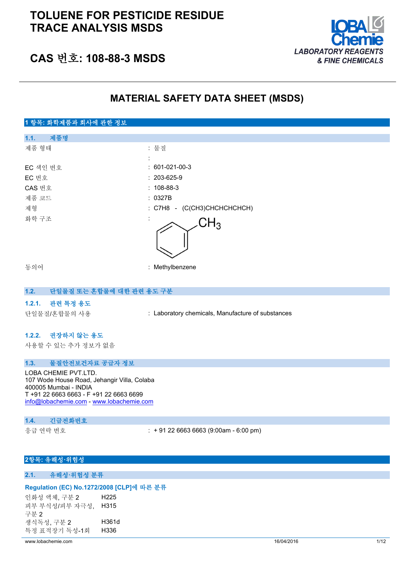## **TOLUENE FOR PESTICIDE RESIDUE TRACE ANALYSIS MSDS**



## **CAS 번호: 108-88-3 MSDS**

### **MATERIAL SAFETY DATA SHEET (MSDS)**

| 1 항목: 화학제품과 회사에 관한 정보 |                             |
|-----------------------|-----------------------------|
| 제품명<br>1.1.           |                             |
| 제품 형태                 | : 물질                        |
|                       | ٠                           |
| EC 색인 번호              | $: 601-021-00-3$            |
| EC 번호                 | $: 203-625-9$               |
| CAS 번호                | $: 108-88-3$                |
| 제품 코드                 | : 0327B                     |
| 제형                    | : C7H8 - (C(CH3)CHCHCHCHCH) |
| 화학 구조                 | $H_3$                       |
| 동의어                   | : Methylbenzene             |

#### **1.2. 단일물질 또는 혼합물에 대한 관련 용도 구분**

#### **1.2.1. 관련 특정 용도**

단일물질/혼합물의 사용 : Laboratory chemicals, Manufacture of substances

#### **1.2.2. 권장하지 않는 용도**

사용할 수 있는 추가 정보가 없음

### **1.3. 물질안전보건자료 공급자 정보**

LOBA CHEMIE PVT.LTD. 107 Wode House Road, Jehangir Villa, Colaba 400005 Mumbai - INDIA T +91 22 6663 6663 - F +91 22 6663 6699 [info@lobachemie.com](mailto:info@lobachemie.com) - <www.lobachemie.com>

#### **1.4. 긴급전화번호**

응급 연락 번호 : + 91 22 6663 6663 (9:00am - 6:00 pm)

#### **2항목: 유해성·위험성**

#### **2.1. 유해성·위험성 분류**

#### **Regulation (EC) No.1272/2008 [CLP]에 따른 분류**

인화성 액체, 구분 2 H225 피부 부식성/피부 자극성, H315 구분 2 생식독성, 구분 2 H361d 특정 표적장기 독성-1회 H336

www.lobachemie.com 16/04/2016 1/12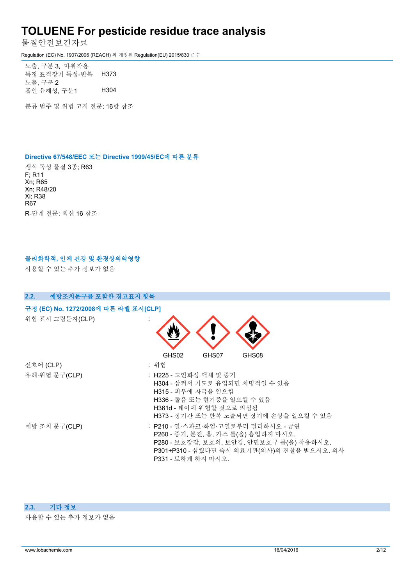물질안전보건자료

Regulation (EC) No. 1907/2006 (REACH) 와 개정된 Regulation(EU) 2015/830 준수

노출, 구분 3, 마취작용 특정 표적장기 독성-반복 노출, 구분 2 H373 흡인 유해성, 구분1 H304

분류 범주 및 위험 고지 전문: 16항 참조

#### **Directive 67/548/EEC 또는 Directive 1999/45/EC에 따른 분류**

생식 독성 물질 3종; R63 F; R11 Xn; R65 Xn; R48/20 Xi; R38 R67 R-단계 전문: 섹션 16 참조

#### **물리화학적, 인체 건강 및 환경상의악영향**

사용할 수 있는 추가 정보가 없음



#### **2.3. 기타 정보**

사용할 수 있는 추가 정보가 없음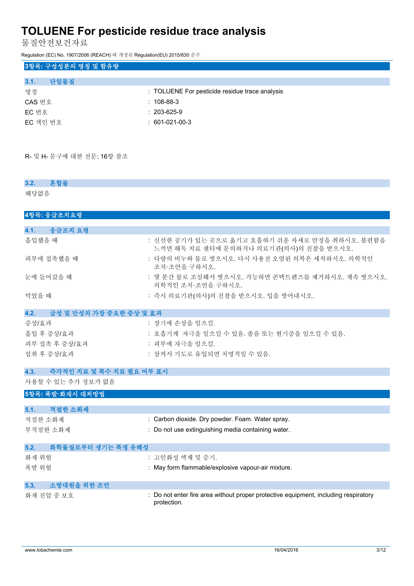물질안전보건자료

Regulation (EC) No. 1907/2006 (REACH) 와 개정된 Regulation(EU) 2015/830 준수

### **3항목: 구성성분의 명칭 및 함유량**

| 다일물질<br>3.1. |                                                |
|--------------|------------------------------------------------|
| 명칫           | : TOLUENE For pesticide residue trace analysis |
| CAS 번호       | $: 108-88-3$                                   |
| EC 번호        | $: 203-625-9$                                  |
|              |                                                |

EC 색인 번호 : 601-021-00-3

R- 및 H- 문구에 대한 전문: 16항 참조

| 혼합물<br>3.2.                      |                                                                                                    |
|----------------------------------|----------------------------------------------------------------------------------------------------|
| 해당없음                             |                                                                                                    |
|                                  |                                                                                                    |
| 4항목: 응급조치요령                      |                                                                                                    |
| 응급조치 요령<br>4.1.                  |                                                                                                    |
| 흡입했을 때                           | : 신선한 공기가 있는 곳으로 옮기고 호흡하기 쉬운 자세로 안정을 취하시오. 불편함을<br>느끼면 해독 치료 센터에 문의하거나 의료기관(의사)의 진찰을 받으시오.         |
| 피부에 접촉했을 때                       | : 다량의 비누와 물로 씻으시오. 다시 사용전 오염된 의복은 세척하시오. 의학적인<br>조치·조언을 구하시오.                                      |
| 눈에 들어갔을 때                        | : 몇 분간 물로 조심해서 씻으시오. 가능하면 콘택트렌즈를 제거하시오. 계속 씻으시오.<br>의학적인 조치·조언을 구하시오.                              |
| 먹었을 때                            | : 즉시 의료기관(의사)의 진찰을 받으시오. 입을 씻어내시오.                                                                 |
| 4.2.<br>급성 및 만성의 가장 중요한 증상 및 효과  |                                                                                                    |
| 증상/효과                            | : 장기에 손상을 일으킴.                                                                                     |
| 흡입 후 증상/효과                       | : 호흡기계 자극을 일으킬 수 있음. 졸음 또는 현기증을 일으킬 수 있음.                                                          |
| 피부 접촉 후 증상/효과                    | : 피부에 자극을 일으킴.                                                                                     |
| 섭취 후 증상/효과                       | : 삼켜서 기도로 유입되면 치명적일 수 있음.                                                                          |
| 즉각적인 치료 및 특수 치료 필요 여부 표시<br>4.3. |                                                                                                    |
| 사용할 수 있는 추가 정보가 없음               |                                                                                                    |
| 5항목: 폭발·화재시 대처방법                 |                                                                                                    |
| 5.1.<br>적절한 소화제                  |                                                                                                    |
| 적절한 소화제                          | : Carbon dioxide. Dry powder. Foam. Water spray.                                                   |
| 부적절한 소화제                         | : Do not use extinguishing media containing water.                                                 |
| 화학물질로부터 생기는 특정 유해성<br>5.2.       |                                                                                                    |
| 화재 위험                            | : 고인화성 액체 및 증기.                                                                                    |
| 폭발 위험                            | : May form flammable/explosive vapour-air mixture.                                                 |
| 소방대원을 위한 조언<br>5.3.              |                                                                                                    |
| 화재 진압 중 보호                       | : Do not enter fire area without proper protective equipment, including respiratory<br>protection. |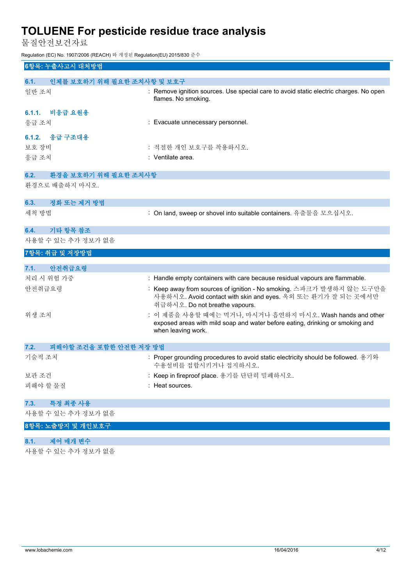물질안전보건자료

Regulation (EC) No. 1907/2006 (REACH) 와 개정된 Regulation(EU) 2015/830 준수

| 6항목: 누출사고시 대처방법                     |                                                                                                                                                                        |
|-------------------------------------|------------------------------------------------------------------------------------------------------------------------------------------------------------------------|
| 인체를 보호하기 위해 필요한 조치사항 및 보호구<br>6.1.  |                                                                                                                                                                        |
| 일반 조치                               | : Remove ignition sources. Use special care to avoid static electric charges. No open<br>flames. No smoking.                                                           |
| 비응급 요원용<br>6.1.1.<br>응급 조치          | : Evacuate unnecessary personnel.                                                                                                                                      |
| 응급 구조대용<br>6.1.2.<br>보호 장비<br>응급 조치 | : 적절한 개인 보호구를 착용하시오.<br>: Ventilate area.                                                                                                                              |
| 환경을 보호하기 위해 필요한 조치사항<br>6.2.        |                                                                                                                                                                        |
| 환경으로 배출하지 마시오.                      |                                                                                                                                                                        |
| 정화 또는 제거 방법<br>6.3.                 |                                                                                                                                                                        |
| 세척 방법                               | : On land, sweep or shovel into suitable containers. 유출물을 모으십시오.                                                                                                       |
| 기타 항목 참조<br>6.4.                    |                                                                                                                                                                        |
| 사용할 수 있는 추가 정보가 없음                  |                                                                                                                                                                        |
|                                     |                                                                                                                                                                        |
| 7항목: 취급 및 저장방법                      |                                                                                                                                                                        |
| 7.1.                                |                                                                                                                                                                        |
| 안전취급요령<br>처리 시 위험 가중                | : Handle empty containers with care because residual vapours are flammable.                                                                                            |
| 안전취급요령                              | : Keep away from sources of ignition - No smoking. 스파크가 발생하지 않는 도구만을<br>사용하시오. Avoid contact with skin and eyes. 옥외 또는 환기가 잘 되는 곳에서만<br>취급하시오. Do not breathe vapours. |
| 위생 조치                               | : 이 제품을 사용할 때에는 먹거나, 마시거나 흡연하지 마시오. Wash hands and other<br>exposed areas with mild soap and water before eating, drinking or smoking and<br>when leaving work.        |
| 피해야할 조건을 포함한 안전한 저장 방법<br>7.2.      |                                                                                                                                                                        |
| 기술적 조치                              | : Proper grounding procedures to avoid static electricity should be followed. 용기와<br>수용설비를 접합시키거나 접지하시오.                                                               |
| 보관 조건                               | : Keep in fireproof place. 용기를 단단히 밀폐하시오.                                                                                                                              |
| 피해야 할 물질                            | : Heat sources.                                                                                                                                                        |
| 특정 최종 사용<br>7.3.                    |                                                                                                                                                                        |
| 사용할 수 있는 추가 정보가 없음                  |                                                                                                                                                                        |

**8.1. 제어 매개 변수**

사용할 수 있는 추가 정보가 없음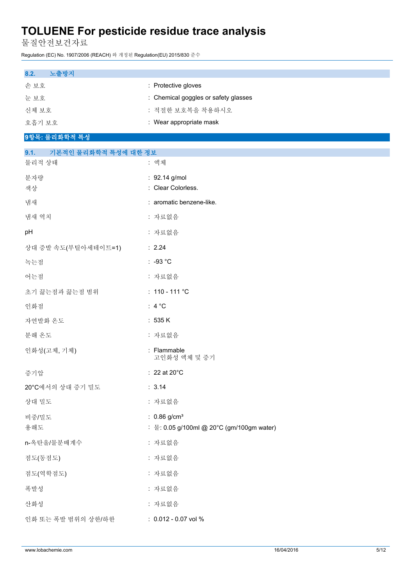물질안전보건자료

Regulation (EC) No. 1907/2006 (REACH) 와 개정된 Regulation(EU) 2015/830 준수

| 8.2.<br>노출방지                           |                                                             |
|----------------------------------------|-------------------------------------------------------------|
| 손 보호                                   | : Protective gloves<br>: Chemical goggles or safety glasses |
| 눈보호<br>신체 보호                           | : 적절한 보호복을 착용하시오                                            |
| 호흡기 보호                                 | : Wear appropriate mask                                     |
| 9항목: 물리화학적 특성                          |                                                             |
|                                        |                                                             |
| 9.1.<br>기본적인 물리화학적 특성에 대한 정보<br>물리적 상태 | : 액체                                                        |
| 분자량                                    | : 92.14 g/mol                                               |
| 색상                                     | : Clear Colorless.                                          |
| 냄새                                     | : aromatic benzene-like.                                    |
| 냄새 역치                                  | : 자료없음                                                      |
| pH                                     | : 자료없음                                                      |
| 상대 증발 속도(부틸아세테이트=1)                    | : 2.24                                                      |
| 녹는점                                    | $: -93 °C$                                                  |
| 어는점                                    | : 자료없음                                                      |
| 초기 끓는점과 끓는점 범위                         | : $110 - 111 °C$                                            |
| 인화점                                    | : $4^{\circ}C$                                              |
| 자연발화 온도                                | : 535 K                                                     |
| 분해 온도                                  | : 자료없음                                                      |
| 인화성(고체, 기체)                            | : Flammable<br>고인화성 액체 및 증기                                 |
| 증기압                                    | $: 22$ at 20 $^{\circ}$ C                                   |
| 20°C에서의 상대 증기 밀도                       | : 3.14                                                      |
| 상대 밀도                                  | : 자료없음                                                      |
| 비중/밀도                                  | : $0.86$ g/cm <sup>3</sup>                                  |
| 용해도                                    | : 물: 0.05 g/100ml @ 20°C (gm/100gm water)                   |
| n-옥탄올/물분배계수                            | : 자료없음                                                      |
| 점도(동점도)                                | : 자료없음                                                      |
| 점도(역학점도)                               | : 자료없음                                                      |
| 폭발성                                    | : 자료없음                                                      |
| 산화성                                    | : 자료없음                                                      |
| 인화 또는 폭발 범위의 상한/하한                     | : 0.012 - 0.07 vol %                                        |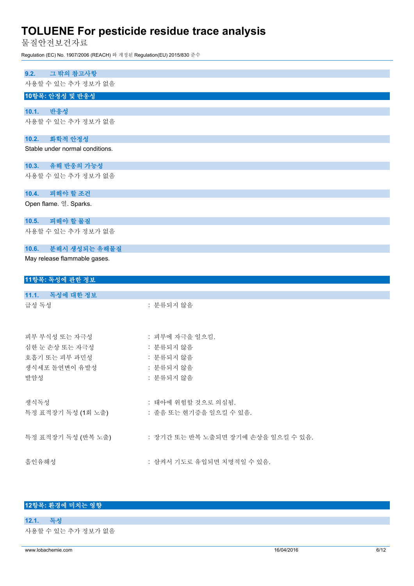물질안전보건자료

Regulation (EC) No. 1907/2006 (REACH) 와 개정된 Regulation(EU) 2015/830 준수

| 그 밖의 참고사항<br>9.2.               |                    |
|---------------------------------|--------------------|
| 사용할 수 있는 추가 정보가 없음              |                    |
| 10항목: 안정성 및 반응성                 |                    |
| 10.1.<br>반응성                    |                    |
| 사용할 수 있는 추가 정보가 없음              |                    |
| 화학적 안정성<br>10.2.                |                    |
| Stable under normal conditions. |                    |
| 10.3. 유해 반응의 가능성                |                    |
| 사용할 수 있는 추가 정보가 없음              |                    |
| 10.4.<br>피해야 할 조건               |                    |
| Open flame. 열. Sparks.          |                    |
| 10.5.<br>피해야 할 물질               |                    |
| 사용할 수 있는 추가 정보가 없음              |                    |
| 10.6.<br>분해시 생성되는 유해물질          |                    |
| May release flammable gases.    |                    |
| 11항목: 독성에 관한 정보                 |                    |
| 11.1. 독성에 대한 정보                 |                    |
| 급성 독성                           | : 분류되지 않음          |
| 피부 부식성 또는 자극성                   | : 피부에 자극을 일으킴.     |
| 심한 눈 손상 또는 자극성                  | : 분류되지 않음          |
| 호흡기 또는 피부 과민성                   | : 분류되지 않음          |
| 생식세포 돌연변이 유발성                   | : 분류되지 않음          |
| 발암성                             | : 분류되지 않음          |
| 생식독성                            | : 태아에 위험할 것으로 의심됨. |

특정 표적장기 독성 (1회 노출) : 졸음 또는 현기증을 일으킬 수 있음.

특정 표적장기 독성 (반복 노출) : 장기간 또는 반복 노출되면 장기에 손상을 일으킬 수 있음.

흡인유해성 : 삼켜서 기도로 유입되면 치명적일 수 있음.

#### **12항목: 환경에 미치는 영향**

**12.1. 독성**

사용할 수 있는 추가 정보가 없음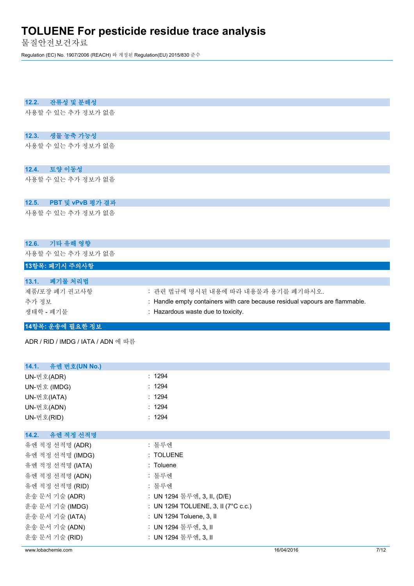물질안전보건자료

Regulation (EC) No. 1907/2006 (REACH) 와 개정된 Regulation(EU) 2015/830 준수

#### **12.2. 잔류성 및 분해성**

사용할 수 있는 추가 정보가 없음

### **12.3. 생물 농축 가능성**

사용할 수 있는 추가 정보가 없음

#### **12.4. 토양 이동성**

사용할 수 있는 추가 정보가 없음

#### **12.5. PBT 및 vPvB 평가 결과**

사용할 수 있는 추가 정보가 없음

#### **12.6. 기타 유해 영향**

사용할 수 있는 추가 정보가 없음

### **13항목: 폐기시 주의사항**

| 폐기물 처리법<br>13.1. |                                                                             |
|------------------|-----------------------------------------------------------------------------|
| 제품/포장 폐기 권고사항    | : 관련 법규에 명시된 내용에 따라 내용물과 용기를 폐기하시오.                                         |
| 추가 정보            | : Handle empty containers with care because residual vapours are flammable. |
| 생태학 - 폐기물        | : Hazardous waste due to toxicity.                                          |

### **14항목: 운송에 필요한 정보**

ADR / RID / IMDG / IATA / ADN 에 따름

| 14.1. 유엔 번호(UN No.) |                                     |
|---------------------|-------------------------------------|
| UN-번호(ADR)          | : 1294                              |
| UN-번호 (IMDG)        | : 1294                              |
| UN-번호(IATA)         | : 1294                              |
| UN-번호(ADN)          | : 1294                              |
| UN-번호(RID)          | : 1294                              |
|                     |                                     |
| 14.2. 유엔 적정 선적명     |                                     |
| 유엔 적정 선적명 (ADR)     | : 톨루엔                               |
| 유엔 적정 선적명 (IMDG)    | : TOLUENE                           |
| 유엔 적정 선적명 (IATA)    | : Toluene                           |
| 유엔 적정 선적명 (ADN)     | : 톨루엔                               |
| 유엔 적정 선적명 (RID)     | : 톨루엔                               |
| 운송 문서 기술 (ADR)      | : UN 1294 톨루엔, 3, II, (D/E)         |
| 운송 문서 기술 (IMDG)     | : UN 1294 TOLUENE, 3, II (7°C c.c.) |
| 운송 문서 기술 (IATA)     | : UN 1294 Toluene, 3, II            |
| 운송 문서 기술 (ADN)      | : UN 1294 톨루엔, 3, II                |
| 운송 문서 기술 (RID)      | : UN 1294 톨루엔, 3, II                |
|                     |                                     |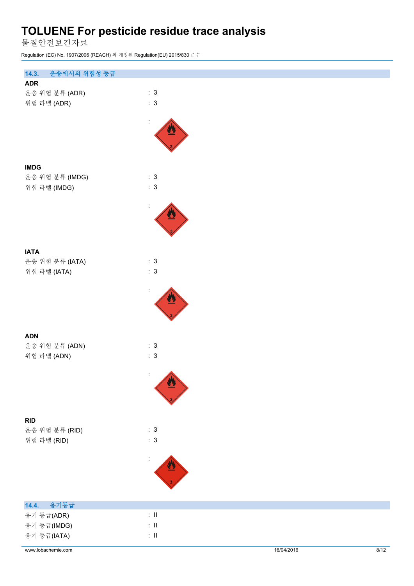물질안전보건자료

Regulation (EC) No. 1907/2006 (REACH) 와 개정된 Regulation(EU) 2015/830 준수

| 14.3.<br>운송에서의 위험성 등급          |                           |
|--------------------------------|---------------------------|
| <b>ADR</b>                     |                           |
| 운송 위험 분류 (ADR)                 | : 3<br>: 3                |
| 위험 라벨 (ADR)                    |                           |
|                                | $\ddot{\cdot}$            |
|                                |                           |
|                                |                           |
|                                |                           |
| <b>IMDG</b>                    |                           |
| 운송 위험 분류 (IMDG)                | : 3                       |
| 위험 라벨 (IMDG)                   | : 3                       |
|                                |                           |
|                                | $\ddot{\cdot}$            |
|                                |                           |
|                                |                           |
|                                |                           |
| <b>IATA</b><br>운송 위험 분류 (IATA) | : 3                       |
| 위험 라벨 (IATA)                   | $\therefore$ 3            |
|                                |                           |
|                                | $\ddot{\cdot}$            |
|                                |                           |
|                                |                           |
|                                |                           |
| <b>ADN</b>                     |                           |
| 운송 위험 분류 (ADN)                 | : 3                       |
| 위험 라벨 (ADN)                    | : 3                       |
|                                | $\ddot{\Sigma}$           |
|                                | $\mathbf{v}$              |
|                                |                           |
|                                |                           |
| <b>RID</b>                     |                           |
| 운송 위험 분류 (RID)                 | : 3                       |
| 위험 라벨 (RID)                    | : 3                       |
|                                |                           |
|                                |                           |
|                                |                           |
|                                |                           |
|                                |                           |
| 용기등급<br>14.4.<br>용기 등급(ADR)    | $\colon \, \mathrm{I\!I}$ |
| 용기 등급(IMDG)                    | $\colon \, \mathrm{II}$   |
| 용기 등급(IATA)                    | $\div$ II                 |
|                                |                           |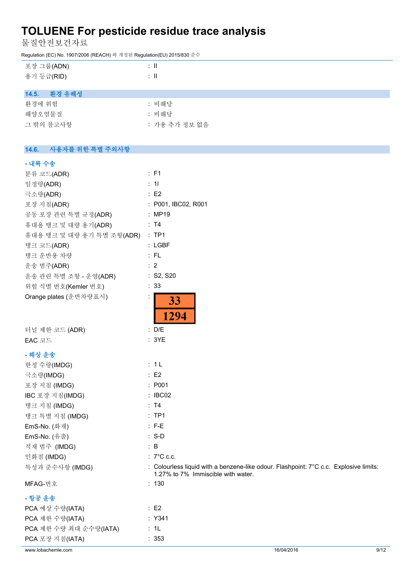물질안전보건자료

Regulation (EC) No. 1907/2006 (REACH) 와 개정된 Regulation(EU) 2015/830 준수

| 포장 그룹(ADN)<br>용기 등급(RID) | ÷Ш<br>÷Ш |
|--------------------------|----------|
| 14.5. 환경 유해성             |          |
| 환경에 위험                   | : 비해당    |
| 해양오염물질                   | : 비해당    |

| 그 밖의 참고사항 | : 가용 추가 정보 없음 |
|-----------|---------------|

### **14.6. 사용자를 위한 특별 주의사항**

#### **- 내륙 수송**

| 분류 코드(ADR)                | : F1                                                                                                                        |
|---------------------------|-----------------------------------------------------------------------------------------------------------------------------|
| 일정량(ADR)                  | : 11                                                                                                                        |
| 극소량(ADR)                  | : E2                                                                                                                        |
| 포장 지침(ADR)                | : P001, IBC02, R001                                                                                                         |
| 공동 포장 관련 특별 규정(ADR)       | : MP19                                                                                                                      |
| 휴대용 탱크 및 대량 용기(ADR)       | : T4                                                                                                                        |
| 휴대용 탱크 및 대량 용기 특별 조항(ADR) | $:$ TP1                                                                                                                     |
| 탱크 코드(ADR)                | $:$ LGBF                                                                                                                    |
| 탱크 운반용 차량                 | :FL                                                                                                                         |
| 운송 범주(ADR)                | $\therefore$ 2                                                                                                              |
| 운송 관련 특별 조항 - 운영(ADR)     | : S2, S20                                                                                                                   |
| 위험 식별 번호(Kemler 번호)       | : 33                                                                                                                        |
| Orange plates (운반차량표시)    | 33<br>1294                                                                                                                  |
| 터널 제한 코드 (ADR)            | : D/E                                                                                                                       |
| EAC 코드                    | : 3YE                                                                                                                       |
| - 해상 운송                   |                                                                                                                             |
| 한정 수량(IMDG)               | : 1L                                                                                                                        |
| 극소량(IMDG)                 | : E2                                                                                                                        |
| 포장 지침 (IMDG)              | : P001                                                                                                                      |
| IBC 포장 지침(IMDG)           | : IBC02                                                                                                                     |
| 탱크 지침 (IMDG)              | : T4                                                                                                                        |
| 탱크 특별 지침 (IMDG)           | :TP1                                                                                                                        |
| EmS-No. (화재)              | $:$ F-E                                                                                                                     |
| EmS-No. (유출)              | $: S-D$                                                                                                                     |
| 적재 범주 (IMDG)              | $\therefore$ B                                                                                                              |
| 인화점 (IMDG)                | $: 7^{\circ}$ C c.c.                                                                                                        |
| 특성과 준수사항 (IMDG)           | : Colourless liquid with a benzene-like odour. Flashpoint: 7°C c.c. Explosive limits:<br>1.27% to 7% Immiscible with water. |
| MFAG-번호                   | : 130                                                                                                                       |

 $:$  Y341  $: 1L$  $: 353$ 

#### **- 항공 운송**

| PCA 예상 수량(IATA)        | : E2 |
|------------------------|------|
| PCA 제한 수량(IATA)        | : Y3 |
| PCA 제한 수량 최대 순수량(IATA) | : 1L |
| PCA 포장 지침(IATA)        | : 35 |
|                        |      |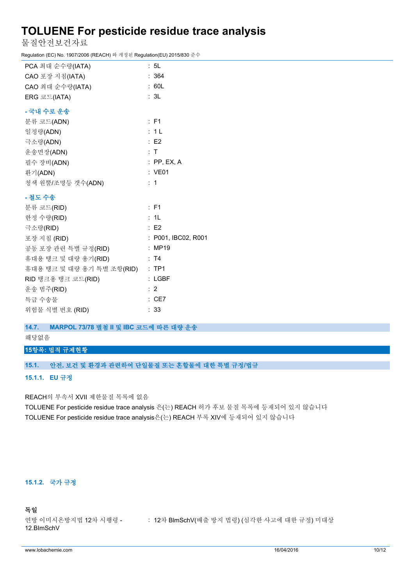물질안전보건자료

Regulation (EC) No. 1907/2006 (REACH) 와 개정된 Regulation(EU) 2015/830 준수

| PCA 최대 순수량(IATA)          | : 5L                |
|---------------------------|---------------------|
| CAO 포장 지침(IATA)           | : 364               |
| CAO 최대 순수량(IATA)          | : 60L               |
| ERG 코드(IATA)              | : 3L                |
| - 국내 수로 운송                |                     |
| 분류 코드(ADN)                | $:$ F1              |
| 일정량(ADN)                  | : 1L                |
| 극소량(ADN)                  | E2                  |
| 운송면장(ADN)                 | : T                 |
| 필수 장비(ADN)                | $:$ PP, EX, A       |
| 환기(ADN)                   | : VE01              |
| 청색 원뿔/조명등 갯수(ADN)         | : 1                 |
| - 철도 수송                   |                     |
| 분류 코드(RID)                | : F1                |
| 한정 수량(RID)                | : 1L                |
| 극소량(RID)                  | E2                  |
| 포장 지침 (RID)               | : P001, IBC02, R001 |
| 공동 포장 관련 특별 규정(RID)       | : MP19              |
| 휴대용 탱크 및 대량 용기(RID)       | : T4                |
| 휴대용 탱크 및 대량 용기 특별 조항(RID) | $:$ TP1             |
| RID 탱크용 탱크 코드(RID)        | $:$ LGBF            |
| 운송 범주(RID)                | : 2                 |

# 위험물 식별 번호 (RID) : 33

특급 수송물 : CE7

### **14.7. MARPOL 73/78 별첨 II 및 IBC 코드에 따른 대량 운송**

해당없음

### **15항목: 법적 규제현황**

#### **15.1. 안전, 보건 및 환경과 관련하여 단일물질 또는 혼합물에 대한 특별 규정/법규**

#### **15.1.1. EU 규정**

REACH의 부속서 XVII 제한물질 목록에 없음

TOLUENE For pesticide residue trace analysis 은(는) REACH 허가 후보 물질 목록에 등재되어 있지 않습니다 TOLUENE For pesticide residue trace analysis은(는) REACH 부록 XIV에 등재되어 있지 않습니다

### **15.1.2. 국가 규정**

#### **독일**

연방 이미시온방지법 12차 시행령 - 12.BImSchV : 12차 BlmSchV(배출 방지 법령) (심각한 사고에 대한 규정) 미대상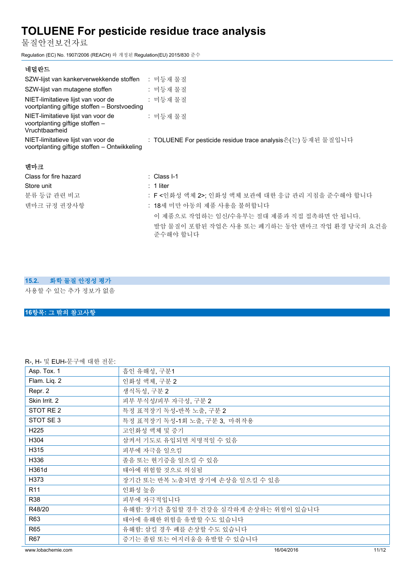물질안전보건자료

Regulation (EC) No. 1907/2006 (REACH) 와 개정된 Regulation(EU) 2015/830 준수

| 네덜란드                                                                                    |                                                              |
|-----------------------------------------------------------------------------------------|--------------------------------------------------------------|
| SZW-lijst van kankerverwekkende stoffen : 미등재 물질                                        |                                                              |
| SZW-lijst van mutagene stoffen                                                          | : 미등재 물질                                                     |
| NIET-limitatieve lijst van voor de<br>voortplanting giftige stoffen - Borstvoeding      | : 미등재 물질                                                     |
| NIET-limitatieve lijst van voor de<br>voortplanting giftige stoffen -<br>Vruchtbaarheid | : 미등재 물질                                                     |
| NIET-limitatieve lijst van voor de<br>voortplanting giftige stoffen – Ontwikkeling      | : TOLUENE For pesticide residue trace analysis은(는) 등재된 물질입니다 |
| 덴마크                                                                                     |                                                              |
| Class for fire hazard                                                                   | $\therefore$ Class I-1                                       |
| Store unit                                                                              | $: 1$ liter                                                  |
| 분류 등급 관련 비고                                                                             | : F <인화성 액체 2>; 인화성 액체 보관에 대한 응급 관리 지침을 준수해야 합니다             |
| 덴마크 규정 권장사항                                                                             | : 18세 미만 아동의 제품 사용을 불허합니다                                    |
|                                                                                         | 이 제품으로 작업하는 임신/수유부는 절대 제품과 직접 접촉하면 안 됩니다.                    |
|                                                                                         | 발암 물질이 포함된 작업은 사용 또는 폐기하는 동안 덴마크 작업 환경 당국의 요건을<br>준수해야 합니다   |

### **15.2. 화학 물질 안정성 평가**

사용할 수 있는 추가 정보가 없음

### **16항목: 그 밖의 참고사항**

R-, H- 및 EUH-문구에 대한 전문:

| www.lobachemie.com            | 16/04/2016                             | 11/12 |
|-------------------------------|----------------------------------------|-------|
| R67                           | 증기는 졸림 또는 어지러움을 유발할 수 있습니다             |       |
| R65                           | 유해함: 삼킬 경우 폐를 손상할 수도 있습니다              |       |
| R63                           | 태아에 유해한 위험을 유발할 수도 있습니다                |       |
| R48/20                        | 유해함: 장기간 흡입할 경우 건강을 심각하게 손상하는 위험이 있습니다 |       |
| R38                           | 피부에 자극적입니다                             |       |
| R <sub>11</sub>               | 인화성 높음                                 |       |
| H373                          | 장기간 또는 반복 노출되면 장기에 손상을 일으킬 수 있음        |       |
| H361d                         | 태아에 위험할 것으로 의심됨                        |       |
| H336                          | 졸음 또는 현기증을 일으킬 수 있음                    |       |
| H315                          | 피부에 자극을 일으킴                            |       |
| H304                          | 삼켜서 기도로 유입되면 치명적일 수 있음                 |       |
| H <sub>225</sub>              | 고인화성 액체 및 증기                           |       |
| STOT SE3                      | 특정 표적장기 독성-1회 노출, 구분 3, 마취작용           |       |
| STOT RE 2                     | 특정 표적장기 독성-반복 노출, 구분 2                 |       |
| Skin Irrit. 2                 | 피부 부식성/피부 자극성, 구분 2                    |       |
| Repr. 2                       | 생식독성, 구분 2                             |       |
| Flam. Liq. 2                  | 인화성 액체, 구분 2                           |       |
| Asp. Tox. 1                   | 흡인 유해성, 구분1                            |       |
| LT-, LT- 슛 LULT-T T 에 베 안 인포. |                                        |       |